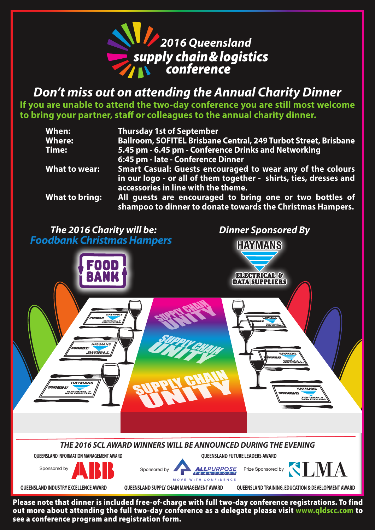

*Don't miss out on attending the Annual Charity Dinner*

**If you are unable to attend the two-day conference you are still most welcome to bring your partner, staff or colleagues to the annual charity dinner.**

| When:          | <b>Thursday 1st of September</b>                                                                                                       |
|----------------|----------------------------------------------------------------------------------------------------------------------------------------|
| <b>Where:</b>  | Ballroom, SOFITEL Brisbane Central, 249 Turbot Street, Brisbane                                                                        |
| Time:          | 5.45 pm - 6.45 pm - Conference Drinks and Networking                                                                                   |
|                | 6:45 pm - late - Conference Dinner                                                                                                     |
| What to wear:  | <b>Smart Casual: Guests encouraged to wear any of the colours</b><br>in our logo - or all of them together - shirts, ties, dresses and |
|                | accessories in line with the theme.                                                                                                    |
| What to bring: | All guests are encouraged to bring one or two bottles of<br>shampoo to dinner to donate towards the Christmas Hampers.                 |

*The 2016 Charity will be: Dinner Sponsored By Foodbank Christmas Hampers*



**QUEENSLAND INDUSTRY EXCELLENCE AWARD QUEENSLAND SUPPLY CHAIN MANAGEMENT AWARD**

**QUEENSLAND TRAINING, EDUCATION & DEVELOPMENT AWARD**

Please note that dinner is included free-of-charge with full two-day conference registrations. To find out more about attending the full two-day conference as a delegate please visit www.qldscc.com to see a conference program and registration form.

MOVE WITH CONFIDENCE